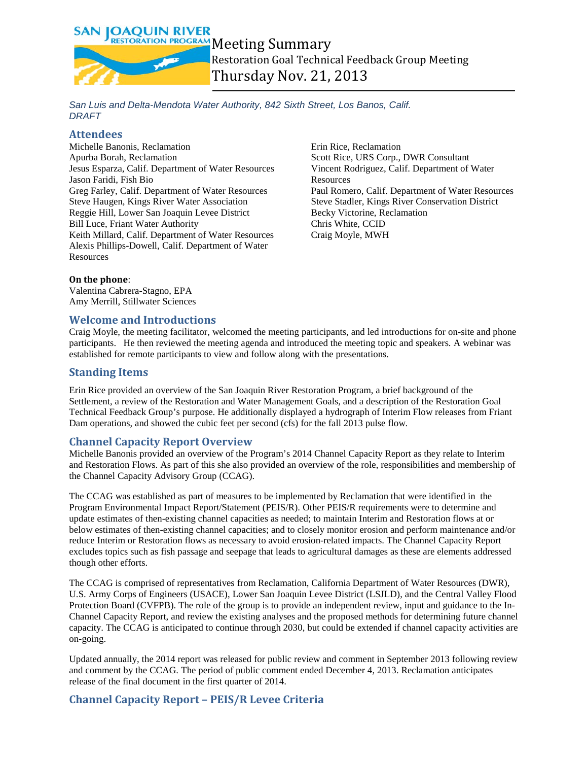**SAN JOAOUIN RIVER** RESTORATION PROGRAM Meeting Summary

Restoration Goal Technical Feedback Group Meeting Thursday Nov. 21, 2013

*San Luis and Delta-Mendota Water Authority, 842 Sixth Street, Los Banos, Calif. DRAFT*

### **Attendees**

Michelle Banonis, Reclamation Apurba Borah, Reclamation Jesus Esparza, Calif. Department of Water Resources Jason Faridi, Fish Bio Greg Farley, Calif. Department of Water Resources Steve Haugen, Kings River Water Association Reggie Hill, Lower San Joaquin Levee District Bill Luce, Friant Water Authority Keith Millard, Calif. Department of Water Resources Alexis Phillips-Dowell, Calif. Department of Water Resources

Erin Rice, Reclamation Scott Rice, URS Corp., DWR Consultant Vincent Rodriguez, Calif. Department of Water **Resources** Paul Romero, Calif. Department of Water Resources Steve Stadler, Kings River Conservation District Becky Victorine, Reclamation Chris White, CCID Craig Moyle, MWH

#### **On the phone**:

Valentina Cabrera-Stagno, EPA Amy Merrill, Stillwater Sciences

### **Welcome and Introductions**

Craig Moyle, the meeting facilitator, welcomed the meeting participants, and led introductions for on-site and phone participants. He then reviewed the meeting agenda and introduced the meeting topic and speakers. A webinar was established for remote participants to view and follow along with the presentations.

# **Standing Items**

Erin Rice provided an overview of the San Joaquin River Restoration Program, a brief background of the Settlement, a review of the Restoration and Water Management Goals, and a description of the Restoration Goal Technical Feedback Group's purpose. He additionally displayed a hydrograph of Interim Flow releases from Friant Dam operations, and showed the cubic feet per second (cfs) for the fall 2013 pulse flow.

### **Channel Capacity Report Overview**

Michelle Banonis provided an overview of the Program's 2014 Channel Capacity Report as they relate to Interim and Restoration Flows. As part of this she also provided an overview of the role, responsibilities and membership of the Channel Capacity Advisory Group (CCAG).

The CCAG was established as part of measures to be implemented by Reclamation that were identified in the Program Environmental Impact Report/Statement (PEIS/R). Other PEIS/R requirements were to determine and update estimates of then-existing channel capacities as needed; to maintain Interim and Restoration flows at or below estimates of then-existing channel capacities; and to closely monitor erosion and perform maintenance and/or reduce Interim or Restoration flows as necessary to avoid erosion-related impacts. The Channel Capacity Report excludes topics such as fish passage and seepage that leads to agricultural damages as these are elements addressed though other efforts.

The CCAG is comprised of representatives from Reclamation, California Department of Water Resources (DWR), U.S. Army Corps of Engineers (USACE), Lower San Joaquin Levee District (LSJLD), and the Central Valley Flood Protection Board (CVFPB). The role of the group is to provide an independent review, input and guidance to the In-Channel Capacity Report, and review the existing analyses and the proposed methods for determining future channel capacity. The CCAG is anticipated to continue through 2030, but could be extended if channel capacity activities are on-going.

Updated annually, the 2014 report was released for public review and comment in September 2013 following review and comment by the CCAG. The period of public comment ended December 4, 2013. Reclamation anticipates release of the final document in the first quarter of 2014.

# **Channel Capacity Report – PEIS/R Levee Criteria**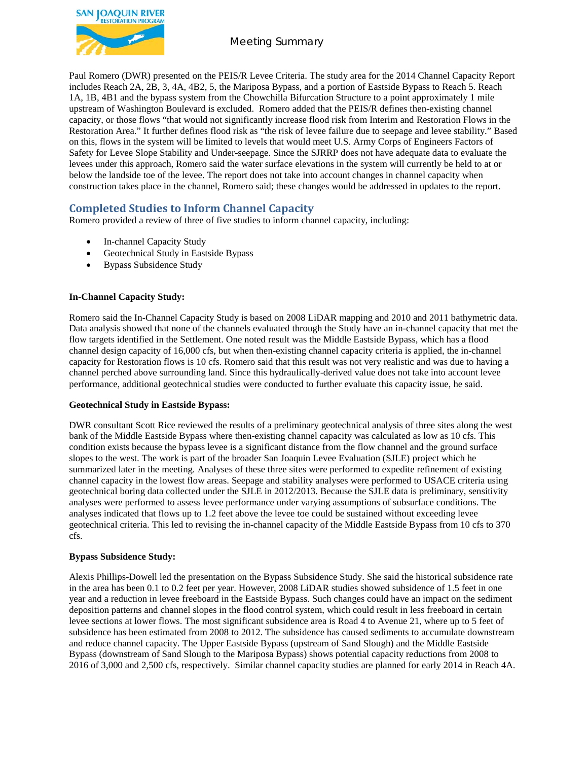

# Meeting Summary

Paul Romero (DWR) presented on the PEIS/R Levee Criteria. The study area for the 2014 Channel Capacity Report includes Reach 2A, 2B, 3, 4A, 4B2, 5, the Mariposa Bypass, and a portion of Eastside Bypass to Reach 5. Reach 1A, 1B, 4B1 and the bypass system from the Chowchilla Bifurcation Structure to a point approximately 1 mile upstream of Washington Boulevard is excluded. Romero added that the PEIS/R defines then-existing channel capacity, or those flows "that would not significantly increase flood risk from Interim and Restoration Flows in the Restoration Area." It further defines flood risk as "the risk of levee failure due to seepage and levee stability." Based on this, flows in the system will be limited to levels that would meet U.S. Army Corps of Engineers Factors of Safety for Levee Slope Stability and Under-seepage. Since the SJRRP does not have adequate data to evaluate the levees under this approach, Romero said the water surface elevations in the system will currently be held to at or below the landside toe of the levee. The report does not take into account changes in channel capacity when construction takes place in the channel, Romero said; these changes would be addressed in updates to the report.

# **Completed Studies to Inform Channel Capacity**

Romero provided a review of three of five studies to inform channel capacity, including:

- In-channel Capacity Study
- Geotechnical Study in Eastside Bypass
- Bypass Subsidence Study

#### **In-Channel Capacity Study:**

Romero said the In-Channel Capacity Study is based on 2008 LiDAR mapping and 2010 and 2011 bathymetric data. Data analysis showed that none of the channels evaluated through the Study have an in-channel capacity that met the flow targets identified in the Settlement. One noted result was the Middle Eastside Bypass, which has a flood channel design capacity of 16,000 cfs, but when then-existing channel capacity criteria is applied, the in-channel capacity for Restoration flows is 10 cfs. Romero said that this result was not very realistic and was due to having a channel perched above surrounding land. Since this hydraulically-derived value does not take into account levee performance, additional geotechnical studies were conducted to further evaluate this capacity issue, he said.

#### **Geotechnical Study in Eastside Bypass:**

DWR consultant Scott Rice reviewed the results of a preliminary geotechnical analysis of three sites along the west bank of the Middle Eastside Bypass where then-existing channel capacity was calculated as low as 10 cfs. This condition exists because the bypass levee is a significant distance from the flow channel and the ground surface slopes to the west. The work is part of the broader San Joaquin Levee Evaluation (SJLE) project which he summarized later in the meeting. Analyses of these three sites were performed to expedite refinement of existing channel capacity in the lowest flow areas. Seepage and stability analyses were performed to USACE criteria using geotechnical boring data collected under the SJLE in 2012/2013. Because the SJLE data is preliminary, sensitivity analyses were performed to assess levee performance under varying assumptions of subsurface conditions. The analyses indicated that flows up to 1.2 feet above the levee toe could be sustained without exceeding levee geotechnical criteria. This led to revising the in-channel capacity of the Middle Eastside Bypass from 10 cfs to 370 cfs.

#### **Bypass Subsidence Study:**

Alexis Phillips-Dowell led the presentation on the Bypass Subsidence Study. She said the historical subsidence rate in the area has been 0.1 to 0.2 feet per year. However, 2008 LiDAR studies showed subsidence of 1.5 feet in one year and a reduction in levee freeboard in the Eastside Bypass. Such changes could have an impact on the sediment deposition patterns and channel slopes in the flood control system, which could result in less freeboard in certain levee sections at lower flows. The most significant subsidence area is Road 4 to Avenue 21, where up to 5 feet of subsidence has been estimated from 2008 to 2012. The subsidence has caused sediments to accumulate downstream and reduce channel capacity. The Upper Eastside Bypass (upstream of Sand Slough) and the Middle Eastside Bypass (downstream of Sand Slough to the Mariposa Bypass) shows potential capacity reductions from 2008 to 2016 of 3,000 and 2,500 cfs, respectively. Similar channel capacity studies are planned for early 2014 in Reach 4A.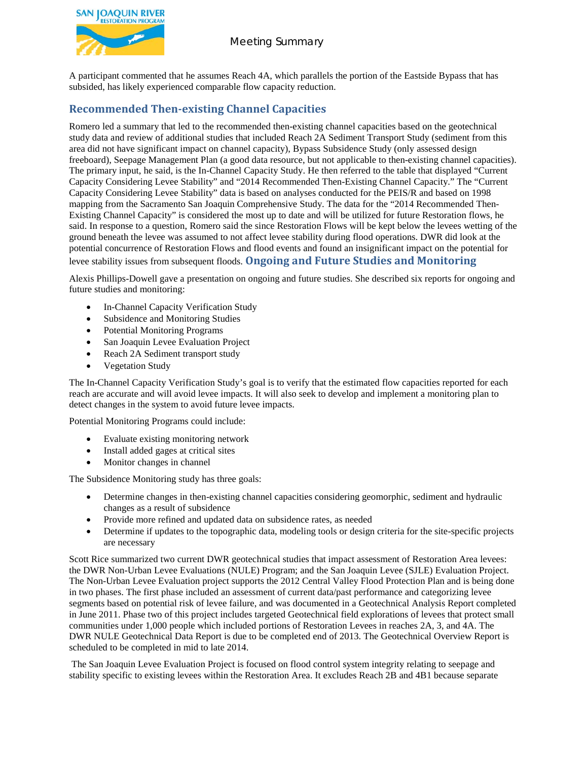

# Meeting Summary

A participant commented that he assumes Reach 4A, which parallels the portion of the Eastside Bypass that has subsided, has likely experienced comparable flow capacity reduction.

# **Recommended Then-existing Channel Capacities**

Romero led a summary that led to the recommended then-existing channel capacities based on the geotechnical study data and review of additional studies that included Reach 2A Sediment Transport Study (sediment from this area did not have significant impact on channel capacity), Bypass Subsidence Study (only assessed design freeboard), Seepage Management Plan (a good data resource, but not applicable to then-existing channel capacities). The primary input, he said, is the In-Channel Capacity Study. He then referred to the table that displayed "Current Capacity Considering Levee Stability" and "2014 Recommended Then-Existing Channel Capacity." The "Current Capacity Considering Levee Stability" data is based on analyses conducted for the PEIS/R and based on 1998 mapping from the Sacramento San Joaquin Comprehensive Study. The data for the "2014 Recommended Then-Existing Channel Capacity" is considered the most up to date and will be utilized for future Restoration flows, he said. In response to a question, Romero said the since Restoration Flows will be kept below the levees wetting of the ground beneath the levee was assumed to not affect levee stability during flood operations. DWR did look at the potential concurrence of Restoration Flows and flood events and found an insignificant impact on the potential for levee stability issues from subsequent floods. **Ongoing and Future Studies and Monitoring**

Alexis Phillips-Dowell gave a presentation on ongoing and future studies. She described six reports for ongoing and future studies and monitoring:

- In-Channel Capacity Verification Study
- Subsidence and Monitoring Studies
- Potential Monitoring Programs
- San Joaquin Levee Evaluation Project
- Reach 2A Sediment transport study
- Vegetation Study

The In-Channel Capacity Verification Study's goal is to verify that the estimated flow capacities reported for each reach are accurate and will avoid levee impacts. It will also seek to develop and implement a monitoring plan to detect changes in the system to avoid future levee impacts.

Potential Monitoring Programs could include:

- Evaluate existing monitoring network
- Install added gages at critical sites
- Monitor changes in channel

The Subsidence Monitoring study has three goals:

- Determine changes in then-existing channel capacities considering geomorphic, sediment and hydraulic changes as a result of subsidence
- Provide more refined and updated data on subsidence rates, as needed
- Determine if updates to the topographic data, modeling tools or design criteria for the site-specific projects are necessary

Scott Rice summarized two current DWR geotechnical studies that impact assessment of Restoration Area levees: the DWR Non-Urban Levee Evaluations (NULE) Program; and the San Joaquin Levee (SJLE) Evaluation Project. The Non-Urban Levee Evaluation project supports the 2012 Central Valley Flood Protection Plan and is being done in two phases. The first phase included an assessment of current data/past performance and categorizing levee segments based on potential risk of levee failure, and was documented in a Geotechnical Analysis Report completed in June 2011. Phase two of this project includes targeted Geotechnical field explorations of levees that protect small communities under 1,000 people which included portions of Restoration Levees in reaches 2A, 3, and 4A. The DWR NULE Geotechnical Data Report is due to be completed end of 2013. The Geotechnical Overview Report is scheduled to be completed in mid to late 2014.

The San Joaquin Levee Evaluation Project is focused on flood control system integrity relating to seepage and stability specific to existing levees within the Restoration Area. It excludes Reach 2B and 4B1 because separate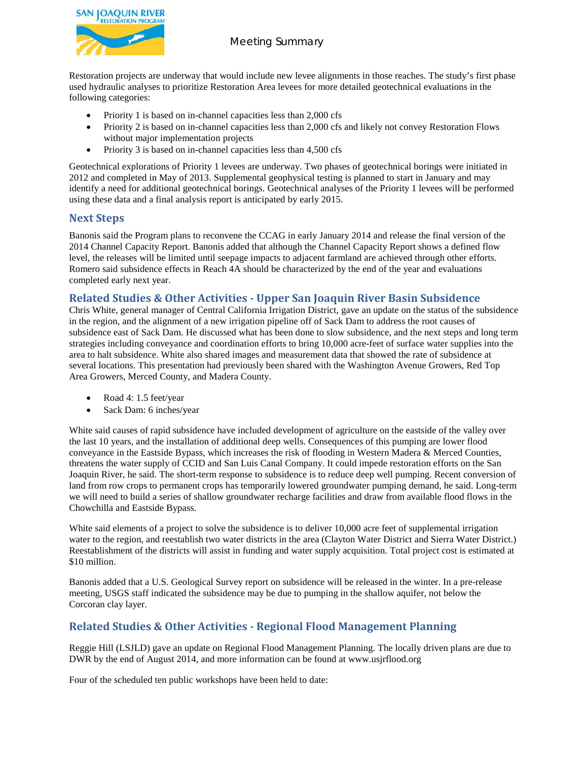

# Meeting Summary

Restoration projects are underway that would include new levee alignments in those reaches. The study's first phase used hydraulic analyses to prioritize Restoration Area levees for more detailed geotechnical evaluations in the following categories:

- Priority 1 is based on in-channel capacities less than 2,000 cfs
- Priority 2 is based on in-channel capacities less than 2,000 cfs and likely not convey Restoration Flows without major implementation projects
- Priority 3 is based on in-channel capacities less than 4,500 cfs

Geotechnical explorations of Priority 1 levees are underway. Two phases of geotechnical borings were initiated in 2012 and completed in May of 2013. Supplemental geophysical testing is planned to start in January and may identify a need for additional geotechnical borings. Geotechnical analyses of the Priority 1 levees will be performed using these data and a final analysis report is anticipated by early 2015.

### **Next Steps**

Banonis said the Program plans to reconvene the CCAG in early January 2014 and release the final version of the 2014 Channel Capacity Report. Banonis added that although the Channel Capacity Report shows a defined flow level, the releases will be limited until seepage impacts to adjacent farmland are achieved through other efforts. Romero said subsidence effects in Reach 4A should be characterized by the end of the year and evaluations completed early next year.

# **Related Studies & Other Activities - Upper San Joaquin River Basin Subsidence**

Chris White, general manager of Central California Irrigation District, gave an update on the status of the subsidence in the region, and the alignment of a new irrigation pipeline off of Sack Dam to address the root causes of subsidence east of Sack Dam. He discussed what has been done to slow subsidence, and the next steps and long term strategies including conveyance and coordination efforts to bring 10,000 acre-feet of surface water supplies into the area to halt subsidence. White also shared images and measurement data that showed the rate of subsidence at several locations. This presentation had previously been shared with the Washington Avenue Growers, Red Top Area Growers, Merced County, and Madera County.

- Road 4: 1.5 feet/year
- Sack Dam: 6 inches/year

White said causes of rapid subsidence have included development of agriculture on the eastside of the valley over the last 10 years, and the installation of additional deep wells. Consequences of this pumping are lower flood conveyance in the Eastside Bypass, which increases the risk of flooding in Western Madera & Merced Counties, threatens the water supply of CCID and San Luis Canal Company. It could impede restoration efforts on the San Joaquin River, he said. The short-term response to subsidence is to reduce deep well pumping. Recent conversion of land from row crops to permanent crops has temporarily lowered groundwater pumping demand, he said. Long-term we will need to build a series of shallow groundwater recharge facilities and draw from available flood flows in the Chowchilla and Eastside Bypass.

White said elements of a project to solve the subsidence is to deliver 10,000 acre feet of supplemental irrigation water to the region, and reestablish two water districts in the area (Clayton Water District and Sierra Water District.) Reestablishment of the districts will assist in funding and water supply acquisition. Total project cost is estimated at \$10 million.

Banonis added that a U.S. Geological Survey report on subsidence will be released in the winter. In a pre-release meeting, USGS staff indicated the subsidence may be due to pumping in the shallow aquifer, not below the Corcoran clay layer.

# **Related Studies & Other Activities - Regional Flood Management Planning**

Reggie Hill (LSJLD) gave an update on Regional Flood Management Planning. The locally driven plans are due to DWR by the end of August 2014, and more information can be found at www.usjrflood.org

Four of the scheduled ten public workshops have been held to date: